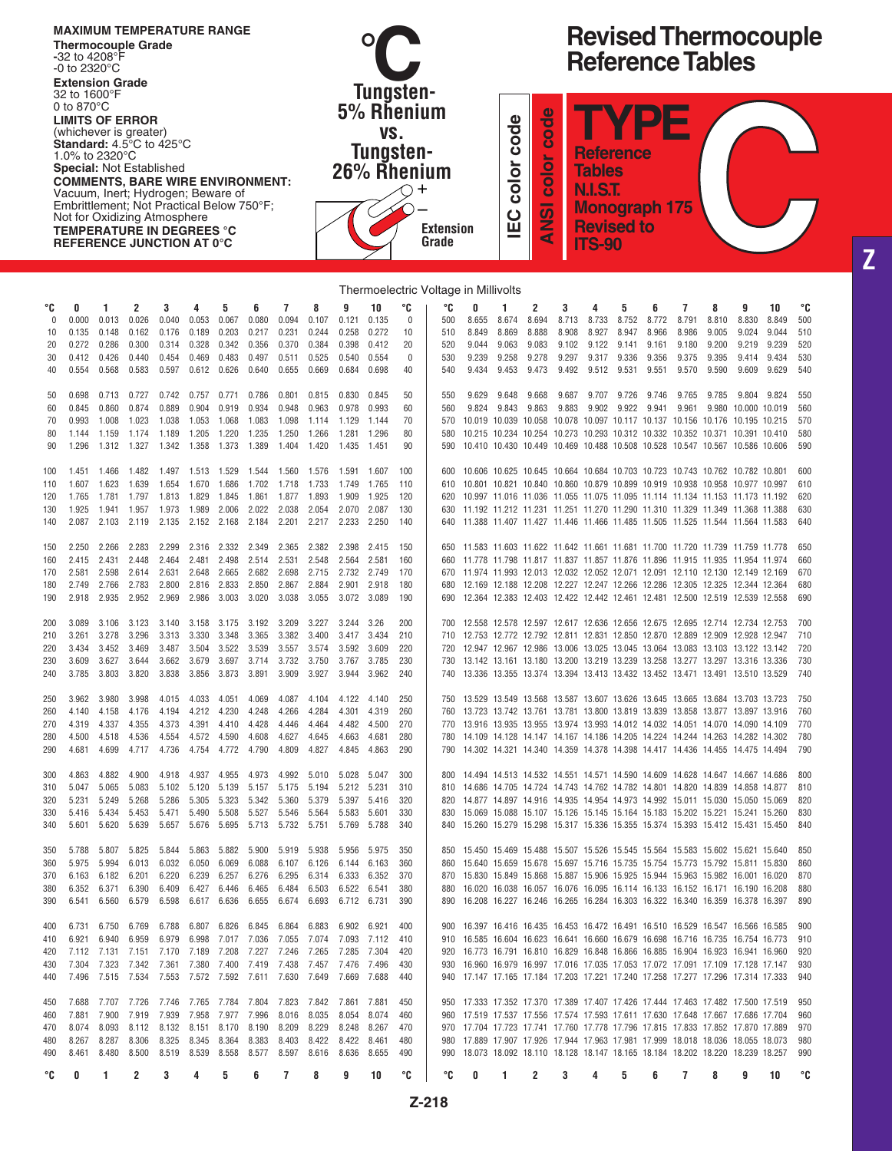|            | $-32$ to 4208°F<br>-0 to 2320°C<br><b>Extension Grade</b><br>32 to 1600°F |                | <b>MAXIMUM TEMPERATURE RANGE</b><br><b>Thermocouple Grade</b>                                                                                                                                                                                                                                                                                                             |                |                         |                      |                |                |                |                | Tungsten-                      |            |                                                   |                  |                                          |                         |                                    |                                                                                            |                |                      |                                                                | <b>Reference Tables</b>                                                                                                                                      |                        | <b>Revised Thermocouple</b> |            |
|------------|---------------------------------------------------------------------------|----------------|---------------------------------------------------------------------------------------------------------------------------------------------------------------------------------------------------------------------------------------------------------------------------------------------------------------------------------------------------------------------------|----------------|-------------------------|----------------------|----------------|----------------|----------------|----------------|--------------------------------|------------|---------------------------------------------------|------------------|------------------------------------------|-------------------------|------------------------------------|--------------------------------------------------------------------------------------------|----------------|----------------------|----------------------------------------------------------------|--------------------------------------------------------------------------------------------------------------------------------------------------------------|------------------------|-----------------------------|------------|
|            | 0 to 870 $\degree$ C<br>1.0% to 2320 °C                                   |                | <b>LIMITS OF ERROR</b><br>(whichever is greater)<br><b>Standard:</b> $4.5^{\circ}$ C to $425^{\circ}$ C<br><b>Special: Not Established</b><br><b>COMMENTS, BARE WIRE ENVIRONMENT:</b><br>Vacuum, Inert; Hydrogen; Beware of<br>Embrittlement; Not Practical Below 750°F;<br>Not for Oxidizing Atmosphere<br><b>TEMPERATURE IN DEGREES °C</b><br>REFERENCE JUNCTION AT 0°C |                |                         |                      |                |                |                |                | 5% Rhenium<br>VS.<br>Tungsten- |            | 26% Rhenium<br>$\pm$<br><b>Extension</b><br>Grade |                  | Φ<br>ㅎ<br>8<br>color<br>$\mathbf C$<br>ш | code<br>color<br>Ž<br>⋖ |                                    | <b>Reference</b><br><b>Tables</b><br><b>N.I.S.T.</b><br><b>Revised to</b><br><b>ITS-90</b> |                | <b>Monograph 175</b> | Ξ                                                              |                                                                                                                                                              |                        |                             |            |
|            |                                                                           |                |                                                                                                                                                                                                                                                                                                                                                                           |                |                         |                      |                |                |                |                |                                |            | Thermoelectric Voltage in Millivolts              |                  |                                          |                         |                                    |                                                                                            |                |                      |                                                                |                                                                                                                                                              |                        |                             |            |
| °C<br>0    | 0<br>0.000                                                                | 1<br>0.013     | 2<br>0.026                                                                                                                                                                                                                                                                                                                                                                | 3<br>0.040     | 4<br>0.053              | 5<br>0.067           | 6<br>0.080     | 7<br>0.094     | 8<br>0.107     | 9<br>0.121     | 10<br>0.135                    | °C<br>0    | °C<br>500                                         | 0<br>8.655       | 1<br>8.674                               | 2<br>8.694              | 3<br>8.713                         | 4<br>8.733                                                                                 | 5<br>8.752     | 6<br>8.772           | 7<br>8.791                                                     | 8<br>8.810                                                                                                                                                   | 9<br>8.830             | 10<br>8.849                 | °C<br>500  |
| 10<br>20   | 0.135<br>0.272                                                            | 0.148<br>0.286 | 0.162<br>0.300                                                                                                                                                                                                                                                                                                                                                            | 0.176<br>0.314 | 0.189<br>0.328          | 0.203<br>0.342       | 0.217<br>0.356 | 0.231<br>0.370 | 0.244<br>0.384 | 0.258<br>0.398 | 0.272<br>0.412                 | 10<br>20   | 510<br>520                                        | 8.849<br>9.044   | 8.869<br>9.063                           | 8.888<br>9.083          | 8.908<br>9.102                     | 8.927<br>9.122                                                                             | 8.947<br>9.141 | 8.966<br>9.161       | 8.986<br>9.180                                                 | 9.005<br>9.200                                                                                                                                               | 9.024<br>9.219         | 9.044<br>9.239              | 510<br>520 |
| 30         | 0.412                                                                     | 0.426          | 0.440                                                                                                                                                                                                                                                                                                                                                                     | 0.454          | 0.469                   | 0.483                | 0.497          | 0.511          | 0.525          | 0.540          | 0.554                          | 0          | 530                                               | 9.239            | 9.258                                    | 9.278                   | 9.297                              | 9.317                                                                                      | 9.336          | 9.356                | 9.375                                                          | 9.395                                                                                                                                                        | 9.414                  | 9.434                       | 530        |
| 40         | 0.554                                                                     | 0.568          | 0.583                                                                                                                                                                                                                                                                                                                                                                     | 0.597          | 0.612                   | 0.626                | 0.640          | 0.655          | 0.669          | 0.684          | 0.698                          | 40         | 540                                               | 9.434            | 9.453                                    | 9.473                   | 9.492                              | 9.512                                                                                      | 9.531          | 9.551                | 9.570                                                          | 9.590                                                                                                                                                        | 9.609                  | 9.629                       | 540        |
| 50<br>60   | 0.698<br>0.845                                                            | 0.713<br>0.860 | 0.727<br>0.874                                                                                                                                                                                                                                                                                                                                                            | 0.742<br>0.889 | 0.757<br>0.904          | 0.771<br>0.919       | 0.786<br>0.934 | 0.801<br>0.948 | 0.815<br>0.963 | 0.830<br>0.978 | 0.845<br>0.993                 | 50<br>60   | 550<br>560                                        | 9.629<br>9.824   | 9.648<br>9.843                           | 9.668<br>9.863          | 9.687<br>9.883                     | 9.707<br>9.902                                                                             | 9.726<br>9.922 | 9.746<br>9.941       | 9.765<br>9.961                                                 | 9.785<br>9.980                                                                                                                                               | 9.804<br>10.000 10.019 | 9.824                       | 550<br>560 |
| 70         | 0.993                                                                     | 1.008          | 1.023                                                                                                                                                                                                                                                                                                                                                                     | 1.038          | 1.053                   | 1.068                | 1.083          | 1.098          | 1.114          | 1.129          | 1.144                          | 70         | 570                                               | 10.019           | 10.039                                   | 10.058                  | 10.078 10.097 10.117 10.137 10.156 |                                                                                            |                |                      |                                                                | 10.176                                                                                                                                                       | 10.195 10.215          |                             | 570        |
| 80<br>90   | 1.144<br>1.296                                                            | 1.159<br>1.312 | 1.174<br>1.327                                                                                                                                                                                                                                                                                                                                                            | 1.189<br>1.342 | 1.205<br>1.358          | 1.220<br>1.373       | 1.235<br>1.389 | 1.250<br>1.404 | 1.266<br>1.420 | 1.281<br>1.435 | 1.296<br>1.451                 | 80<br>90   | 580<br>590                                        | 10.215<br>10.410 | 10.234<br>10.430 10.449                  | 10.254                  |                                    |                                                                                            |                |                      | 10.469 10.488 10.508 10.528 10.547 10.567                      | 10.273 10.293 10.312 10.332 10.352 10.371 10.391 10.410                                                                                                      | 10.586 10.606          |                             | 580<br>590 |
| 100        | 1.451                                                                     | 1.466          | 1.482                                                                                                                                                                                                                                                                                                                                                                     | 1.497          | 1.513                   | 1.529                | 1.544          | 1.560          | 1.576          | 1.591          | 1.607                          | 100        | 600                                               | 10.606           | 10.625 10.645                            |                         |                                    |                                                                                            |                |                      |                                                                | 10.664 10.684 10.703 10.723 10.743 10.762 10.782 10.801                                                                                                      |                        |                             | 600        |
| 110        | 1.607                                                                     | 1.623          | 1.639                                                                                                                                                                                                                                                                                                                                                                     | 1.654          | 1.670                   | 1.686                | 1.702          | 1.718          | 1.733          | 1.749          | 1.765                          | 110        | 610                                               |                  |                                          |                         |                                    |                                                                                            |                |                      |                                                                | 10.801 10.821 10.840 10.860 10.879 10.899 10.919 10.938 10.958 10.977 10.997                                                                                 |                        |                             | 610        |
| 120<br>130 | 1.765<br>1.925                                                            | 1.781<br>1.941 | 1.797<br>1.957                                                                                                                                                                                                                                                                                                                                                            | 1.813<br>1.973 | 1.829<br>1.989          | 1.845<br>2.006       | 1.861<br>2.022 | 1.877<br>2.038 | 1.893<br>2.054 | 1.909<br>2.070 | 1.925<br>2.087                 | 120<br>130 | 620<br>630                                        |                  |                                          |                         |                                    |                                                                                            |                |                      |                                                                | 10.997 11.016 11.036 11.055 11.075 11.095 11.114 11.134 11.153 11.173 11.192<br>11.192 11.212 11.231 11.251 11.270 11.290 11.310 11.329 11.349 11.368 11.388 |                        |                             | 620<br>630 |
| 140        | 2.087                                                                     | 2.103          | 2.119                                                                                                                                                                                                                                                                                                                                                                     | 2.135          | 2.152                   | 2.168                | 2.184          | 2.201          | 2.217          | 2.233          | 2.250                          | 140        | 640                                               |                  |                                          |                         |                                    |                                                                                            |                |                      |                                                                | 11.388 11.407 11.427 11.446 11.466 11.485 11.505 11.525 11.544 11.564 11.583                                                                                 |                        |                             | 640        |
| 150        | 2.250                                                                     | 2.266          | 2.283                                                                                                                                                                                                                                                                                                                                                                     | 2.299          | 2.316                   | 2.332                | 2.349          | 2.365          | 2.382          | 2.398          | 2.415                          | 150        | 650                                               |                  |                                          |                         |                                    |                                                                                            |                |                      |                                                                | 11.583 11.603 11.622 11.642 11.661 11.681 11.700 11.720 11.739 11.759 11.778                                                                                 |                        |                             | 650        |
| 160        | 2.415                                                                     | 2.431          | 2.448                                                                                                                                                                                                                                                                                                                                                                     | 2.464          | 2.481                   | 2.498                | 2.514          | 2.531          | 2.548          | 2.564          | 2.581                          | 160        | 660                                               |                  |                                          |                         |                                    |                                                                                            |                |                      |                                                                | 11.778 11.798 11.817 11.837 11.857 11.876 11.896 11.915 11.935 11.954 11.974                                                                                 |                        |                             | 660        |
| 170<br>180 | 2.581<br>2.749                                                            | 2.598<br>2.766 | 2.614<br>2.783                                                                                                                                                                                                                                                                                                                                                            | 2.631<br>2.800 | 2.648<br>2.816          | 2.665<br>2.833       | 2.682<br>2.850 | 2.698<br>2.867 | 2.715<br>2.884 | 2.732<br>2.901 | 2.749<br>2.918                 | 170<br>180 | 670<br>680                                        |                  |                                          |                         |                                    |                                                                                            |                |                      |                                                                | 11.974 11.993 12.013 12.032 12.052 12.071 12.091 12.110 12.130 12.149 12.169<br>12.169 12.188 12.208 12.227 12.247 12.266 12.286 12.305 12.325 12.344 12.364 |                        |                             | 670<br>680 |
| 190        | 2.918                                                                     | 2.935          | 2.952                                                                                                                                                                                                                                                                                                                                                                     | 2.969          | 2.986                   | 3.003                | 3.020          | 3.038          | 3.055          | 3.072          | 3.089                          | 190        | 690                                               |                  |                                          |                         |                                    |                                                                                            |                |                      |                                                                | 12.364 12.383 12.403 12.422 12.442 12.461 12.481 12.500 12.519 12.539 12.558                                                                                 |                        |                             | 690        |
| 200        | 3.089                                                                     | 3.106          | 3.123                                                                                                                                                                                                                                                                                                                                                                     | 3.140          | 3.158                   | 3.175                | 3.192          | 3.209          | 3.227          | 3.244          | 3.26                           | 200        | 700                                               |                  |                                          |                         |                                    |                                                                                            |                |                      |                                                                | 12.558 12.578 12.597 12.617 12.636 12.656 12.675 12.695 12.714 12.734 12.753                                                                                 |                        |                             | 700        |
| 210        | 3.261                                                                     | 3.278          | 3.296                                                                                                                                                                                                                                                                                                                                                                     | 3.313          | 3.330                   | 3.348                | 3.365          | 3.382          | 3.400          | 3.417          | 3.434                          | 210        | 710                                               |                  |                                          |                         |                                    |                                                                                            |                |                      | 12.753 12.772 12.792 12.811 12.831 12.850 12.870 12.889 12.909 |                                                                                                                                                              | 12.928 12.947          |                             | 710        |
| 220<br>230 | 3.434<br>3.609                                                            | 3.452<br>3.627 | 3.469<br>3.644                                                                                                                                                                                                                                                                                                                                                            | 3.487<br>3.662 | 3.504<br>3.679          | 3.522<br>3.697       | 3.539<br>3.714 | 3.557<br>3.732 | 3.574<br>3.750 | 3.592<br>3.767 | 3.609<br>3.785                 | 220<br>230 | 720<br>730                                        |                  |                                          |                         |                                    |                                                                                            |                |                      |                                                                | 12.947 12.967 12.986 13.006 13.025 13.045 13.064 13.083 13.103 13.122 13.142<br>13.142 13.161 13.180 13.200 13.219 13.239 13.258 13.277 13.297 13.316 13.336 |                        |                             | 720<br>730 |
| 240        | 3.785                                                                     | 3.803          | 3.820                                                                                                                                                                                                                                                                                                                                                                     | 3.838          | 3.856                   | 3.873                | 3.891          | 3.909          | 3.927          | 3.944          | 3.962                          | 240        | 740                                               |                  |                                          |                         |                                    |                                                                                            |                |                      |                                                                | 13.336 13.355 13.374 13.394 13.413 13.432 13.452 13.471 13.491 13.510 13.529                                                                                 |                        |                             | 740        |
| 250        | 3.962                                                                     | 3.980          | 3.998                                                                                                                                                                                                                                                                                                                                                                     |                | 4.015 4.033 4.051 4.069 |                      |                | 4.087          | 4.104          | 4.122          | 4.140                          | 250        |                                                   |                  |                                          |                         |                                    |                                                                                            |                |                      |                                                                | 750 13.529 13.549 13.568 13.587 13.607 13.626 13.645 13.665 13.684 13.703 13.723                                                                             |                        |                             | 750        |
| 260        | 4.140                                                                     | 4.158          | 4.176                                                                                                                                                                                                                                                                                                                                                                     | 4.194          | 4.212 4.230             |                      | 4.248          | 4.266          | 4.284          | 4.301          | 4.319                          | 260        |                                                   |                  |                                          |                         |                                    |                                                                                            |                |                      |                                                                | 13.723 13.742 13.761 13.781 13.800 13.819 13.839 13.858 13.877 13.897 13.916                                                                                 |                        |                             | 760        |
| 270<br>280 | 4.319<br>4.500                                                            | 4.337<br>4.518 | 4.355<br>4.536                                                                                                                                                                                                                                                                                                                                                            | 4.373<br>4.554 | 4.391<br>4.572 4.590    | 4.410                | 4.428<br>4.608 | 4.446<br>4.627 | 4.464<br>4.645 | 4.482<br>4.663 | 4.500<br>4.681                 | 270<br>280 | 770<br>780                                        |                  |                                          |                         |                                    |                                                                                            |                |                      |                                                                | 13.916 13.935 13.955 13.974 13.993 14.012 14.032 14.051 14.070 14.090 14.109<br>14.109 14.128 14.147 14.167 14.186 14.205 14.224 14.244 14.263 14.282 14.302 |                        |                             | 770<br>780 |
| 290        | 4.681                                                                     | 4.699          | 4.717                                                                                                                                                                                                                                                                                                                                                                     | 4.736          |                         | 4.754 4.772 4.790    |                | 4.809          | 4.827          | 4.845          | 4.863                          | 290        | 790                                               |                  |                                          |                         |                                    |                                                                                            |                |                      |                                                                | 14.302 14.321 14.340 14.359 14.378 14.398 14.417 14.436 14.455 14.475 14.494                                                                                 |                        |                             | 790        |
| 300        | 4.863                                                                     | 4.882          | 4.900                                                                                                                                                                                                                                                                                                                                                                     | 4.918          | 4.937                   | 4.955                | 4.973          | 4.992          | 5.010          | 5.028          | 5.047                          | 300        | 800.                                              |                  |                                          |                         |                                    |                                                                                            |                |                      |                                                                | 14.494 14.513 14.532 14.551 14.571 14.590 14.609 14.628 14.647 14.667 14.686                                                                                 |                        |                             | 800        |
| 310        | 5.047<br>5.231                                                            | 5.065<br>5.249 | 5.083                                                                                                                                                                                                                                                                                                                                                                     | 5.102<br>5.286 | 5.120<br>5.305          | 5.139<br>5.323       | 5.157          | 5.175<br>5.360 | 5.194<br>5.379 | 5.212<br>5.397 | 5.231<br>5.416                 | 310<br>320 | 810<br>820                                        |                  |                                          |                         |                                    |                                                                                            |                |                      |                                                                | 14.686 14.705 14.724 14.743 14.762 14.782 14.801 14.820 14.839 14.858 14.877<br>14.877 14.897 14.916 14.935 14.954 14.973 14.992 15.011 15.030 15.050 15.069 |                        |                             | 810<br>820 |
| 320<br>330 | 5.416                                                                     | 5.434          | 5.268<br>5.453                                                                                                                                                                                                                                                                                                                                                            | 5.471          | 5.490                   | 5.508                | 5.342<br>5.527 | 5.546          | 5.564          | 5.583          | 5.601                          | 330        | 830                                               |                  |                                          |                         |                                    |                                                                                            |                |                      |                                                                | 15.069 15.088 15.107 15.126 15.145 15.164 15.183 15.202 15.221 15.241 15.260                                                                                 |                        |                             | 830        |
| 340        | 5.601                                                                     | 5.620          | 5.639                                                                                                                                                                                                                                                                                                                                                                     | 5.657          |                         | 5.676 5.695 5.713    |                | 5.732          | 5.751          | 5.769          | 5.788                          | 340        | 840                                               |                  |                                          |                         |                                    |                                                                                            |                |                      |                                                                | 15.260 15.279 15.298 15.317 15.336 15.355 15.374 15.393 15.412 15.431 15.450                                                                                 |                        |                             | 840        |
| 350        | 5.788                                                                     | 5.807          | 5.825                                                                                                                                                                                                                                                                                                                                                                     | 5.844          | 5.863                   | 5.882                | 5.900          | 5.919          | 5.938          | 5.956          | 5.975                          | 350        | 850                                               |                  |                                          |                         |                                    |                                                                                            |                |                      |                                                                | 15.450 15.469 15.488 15.507 15.526 15.545 15.564 15.583 15.602 15.621 15.640                                                                                 |                        |                             | 850        |
| 360<br>370 | 5.975<br>6.163                                                            | 5.994<br>6.182 | 6.013<br>6.201                                                                                                                                                                                                                                                                                                                                                            | 6.032<br>6.220 | 6.050<br>6.239          | 6.069<br>6.257       | 6.088<br>6.276 | 6.107<br>6.295 | 6.126<br>6.314 | 6.144<br>6.333 | 6.163<br>6.352                 | 360<br>370 | 860<br>870                                        |                  |                                          |                         |                                    |                                                                                            |                |                      |                                                                | 15.640 15.659 15.678 15.697 15.716 15.735 15.754 15.773 15.792 15.811 15.830<br>15.830 15.849 15.868 15.887 15.906 15.925 15.944 15.963 15.982 16.001 16.020 |                        |                             | 860<br>870 |
| 380        | 6.352 6.371                                                               |                | 6.390                                                                                                                                                                                                                                                                                                                                                                     | 6.409          |                         | 6.427 6.446          | 6.465          | 6.484          | 6.503          | 6.522          | 6.541                          | 380        | 880                                               |                  |                                          |                         |                                    |                                                                                            |                |                      |                                                                | 16.020 16.038 16.057 16.076 16.095 16.114 16.133 16.152 16.171 16.190 16.208                                                                                 |                        |                             | 880        |
| 390        | 6.541                                                                     | 6.560          | 6.579                                                                                                                                                                                                                                                                                                                                                                     | 6.598          | 6.617 6.636 6.655       |                      |                | 6.674          | 6.693          | 6.712 6.731    |                                | 390        | 890                                               |                  |                                          |                         |                                    |                                                                                            |                |                      |                                                                | 16.208 16.227 16.246 16.265 16.284 16.303 16.322 16.340 16.359 16.378 16.397                                                                                 |                        |                             | 890        |
| 400        | 6.731                                                                     | 6.750          | 6.769                                                                                                                                                                                                                                                                                                                                                                     |                | 6.788 6.807 6.826 6.845 |                      |                | 6.864          | 6.883          | 6.902          | 6.921                          | 400        | 900                                               |                  |                                          |                         |                                    |                                                                                            |                |                      |                                                                | 16.397 16.416 16.435 16.453 16.472 16.491 16.510 16.529 16.547 16.566 16.585                                                                                 |                        |                             | 900        |
| 410<br>420 | 6.921<br>7.112                                                            | 6.940<br>7.131 | 6.959<br>7.151                                                                                                                                                                                                                                                                                                                                                            | 6.979<br>7.170 | 6.998<br>7.189          | 7.017 7.036<br>7.208 | 7.227          | 7.055<br>7.246 | 7.074<br>7.265 | 7.093<br>7.285 | 7.112<br>7.304                 | 410<br>420 | 910<br>920                                        |                  |                                          |                         |                                    |                                                                                            |                |                      |                                                                | 16.585 16.604 16.623 16.641 16.660 16.679 16.698 16.716 16.735 16.754 16.773<br>16.773 16.791 16.810 16.829 16.848 16.866 16.885 16.904 16.923 16.941 16.960 |                        |                             | 910<br>920 |
| 430        | 7.304                                                                     | 7.323          | 7.342                                                                                                                                                                                                                                                                                                                                                                     | 7.361          | 7.380 7.400 7.419       |                      |                | 7.438          | 7.457          | 7.476          | 7.496                          | 430        | 930                                               |                  |                                          |                         |                                    |                                                                                            |                |                      |                                                                | 16.960 16.979 16.997 17.016 17.035 17.053 17.072 17.091 17.109 17.128 17.147                                                                                 |                        |                             | 930        |
| 440        | 7.496                                                                     | 7.515          | 7.534                                                                                                                                                                                                                                                                                                                                                                     |                | 7.553 7.572 7.592 7.611 |                      |                | 7.630          | 7.649          | 7.669          | 7.688                          | 440        |                                                   |                  |                                          |                         |                                    |                                                                                            |                |                      |                                                                | 17.147 17.165 17.184 17.203 17.221 17.240 17.258 17.277 17.296 17.314 17.333                                                                                 |                        |                             | 940        |
| 450        | 7.688                                                                     | 7.707          | 7.726                                                                                                                                                                                                                                                                                                                                                                     | 7.746 7.765    |                         | 7.784 7.804          |                | 7.823          | 7.842          | 7.861          | 7.881                          | 450        | 950                                               |                  |                                          |                         |                                    |                                                                                            |                |                      |                                                                | 17.333 17.352 17.370 17.389 17.407 17.426 17.444 17.463 17.482 17.500 17.519                                                                                 |                        |                             | 950        |
| 460<br>470 | 7.881<br>8.074                                                            | 7.900<br>8.093 | 7.919<br>8.112                                                                                                                                                                                                                                                                                                                                                            | 7.939<br>8.132 | 7.958<br>8.151          | 7.977<br>8.170 8.190 | 7.996          | 8.016<br>8.209 | 8.035<br>8.229 | 8.054<br>8.248 | 8.074<br>8.267                 | 460<br>470 | 960<br>970                                        |                  |                                          |                         |                                    |                                                                                            |                |                      |                                                                | 17.519 17.537 17.556 17.574 17.593 17.611 17.630 17.648 17.667 17.686 17.704<br>17.704 17.723 17.741 17.760 17.778 17.796 17.815 17.833 17.852 17.870 17.889 |                        |                             | 960<br>970 |
| 480        | 8.267                                                                     | 8.287          | 8.306                                                                                                                                                                                                                                                                                                                                                                     | 8.325          | 8.345                   | 8.364                | 8.383          | 8.403          | 8.422          | 8.422          | 8.461                          | 480        | 980                                               |                  |                                          |                         |                                    |                                                                                            |                |                      |                                                                | 17.889 17.907 17.926 17.944 17.963 17.981 17.999 18.018 18.036 18.055 18.073                                                                                 |                        |                             | 980        |
| 490        | 8.461                                                                     | 8.480          | 8.500                                                                                                                                                                                                                                                                                                                                                                     | 8.519          | 8.539                   | 8.558 8.577          |                | 8.597          | 8.616          | 8.636          | 8.655                          | 490        | 990                                               |                  |                                          |                         |                                    |                                                                                            |                |                      |                                                                | 18.073 18.092 18.110 18.128 18.147 18.165 18.184 18.202 18.220 18.239 18.257                                                                                 |                        |                             | 990        |
| ℃          | 0                                                                         | 1.             | 2                                                                                                                                                                                                                                                                                                                                                                         | 3              | 4                       | 5                    | 6              | 7              | 8              | 9              | 10                             | °C         | °C                                                | 0                | 1.                                       | 2                       | 3                                  | 4                                                                                          | 5              | 6                    | 7                                                              | 8                                                                                                                                                            | 9                      | 10                          | °C         |

**Z**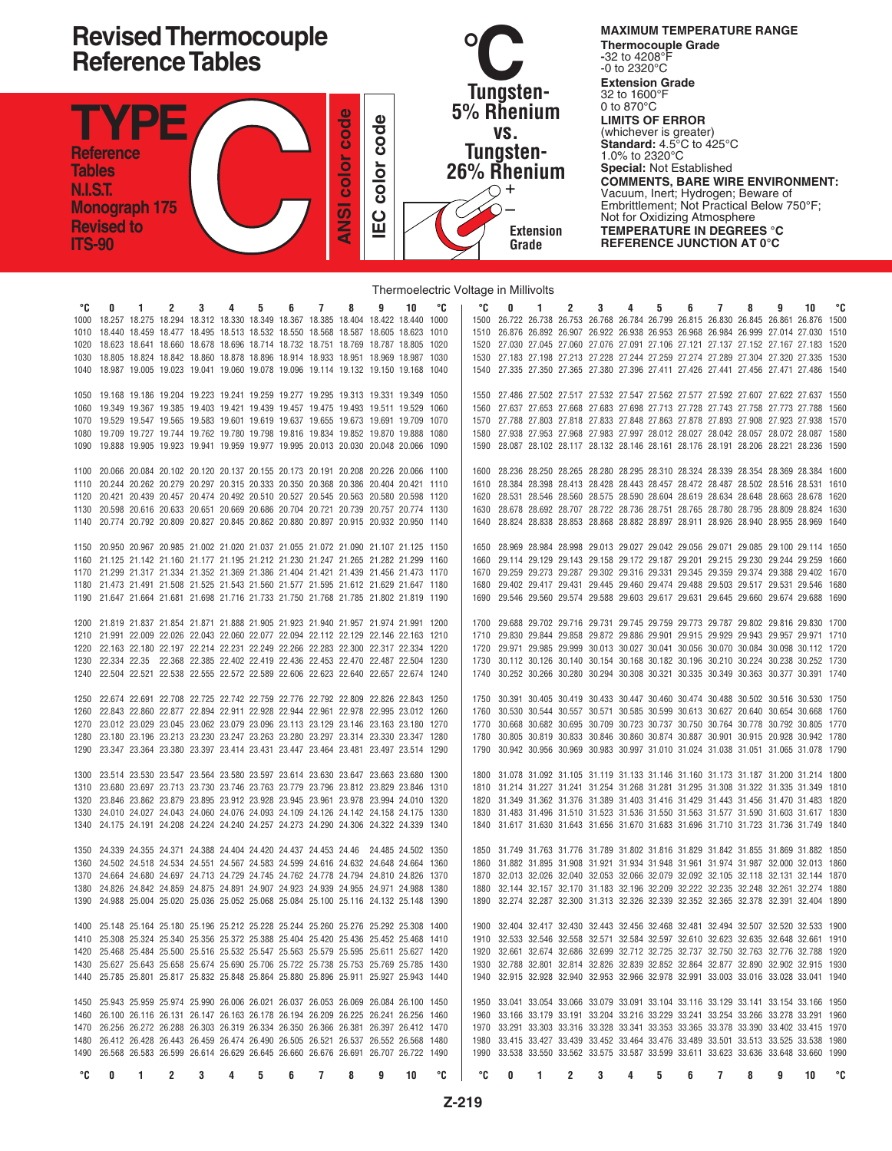

## Thermoelectric Voltage in Millivolts

| °C   | 0 | 1 | 2 | 3 | 4 | 5 | 6 | $\overline{7}$ | 8                                                                                      | 9 | 10 | ۰c | ۰c   | 0 | 1 | 2 | 3 | 4 | 5 | 6 | 7 | 8 | 9 | 10                                                                                     | °C |
|------|---|---|---|---|---|---|---|----------------|----------------------------------------------------------------------------------------|---|----|----|------|---|---|---|---|---|---|---|---|---|---|----------------------------------------------------------------------------------------|----|
| 1000 |   |   |   |   |   |   |   |                | 18.257 18.275 18.294 18.312 18.330 18.349 18.367 18.385 18.404 18.422 18.440 1000      |   |    |    |      |   |   |   |   |   |   |   |   |   |   | 1500 26.722 26.738 26.753 26.768 26.784 26.799 26.815 26.830 26.845 26.861 26.876 1500 |    |
|      |   |   |   |   |   |   |   |                |                                                                                        |   |    |    |      |   |   |   |   |   |   |   |   |   |   |                                                                                        |    |
| 1010 |   |   |   |   |   |   |   |                | 18.440 18.459 18.477 18.495 18.513 18.532 18.550 18.568 18.587 18.605 18.623 1010      |   |    |    |      |   |   |   |   |   |   |   |   |   |   | 1510 26.876 26.892 26.907 26.922 26.938 26.953 26.968 26.984 26.999 27.014 27.030 1510 |    |
| 1020 |   |   |   |   |   |   |   |                | 18.623 18.641 18.660 18.678 18.696 18.714 18.732 18.751 18.769 18.787 18.805 1020      |   |    |    |      |   |   |   |   |   |   |   |   |   |   | 1520 27.030 27.045 27.060 27.076 27.091 27.106 27.121 27.137 27.152 27.167 27.183 1520 |    |
|      |   |   |   |   |   |   |   |                |                                                                                        |   |    |    |      |   |   |   |   |   |   |   |   |   |   |                                                                                        |    |
| 1030 |   |   |   |   |   |   |   |                | 18.805 18.824 18.842 18.860 18.878 18.896 18.914 18.933 18.951 18.969 18.987 1030      |   |    |    |      |   |   |   |   |   |   |   |   |   |   | 1530 27.183 27.198 27.213 27.228 27.244 27.259 27.274 27.289 27.304 27.320 27.335 1530 |    |
|      |   |   |   |   |   |   |   |                | 18.987 19.005 19.023 19.041 19.060 19.078 19.096 19.114 19.132 19.150 19.168 1040      |   |    |    |      |   |   |   |   |   |   |   |   |   |   | 1540 27.335 27.350 27.365 27.380 27.396 27.411 27.426 27.441 27.456 27.471 27.486 1540 |    |
|      |   |   |   |   |   |   |   |                |                                                                                        |   |    |    |      |   |   |   |   |   |   |   |   |   |   |                                                                                        |    |
|      |   |   |   |   |   |   |   |                |                                                                                        |   |    |    |      |   |   |   |   |   |   |   |   |   |   |                                                                                        |    |
| 1050 |   |   |   |   |   |   |   |                | 19.168 19.186 19.204 19.223 19.241 19.259 19.277 19.295 19.313 19.331 19.349 1050      |   |    |    |      |   |   |   |   |   |   |   |   |   |   | 1550 27.486 27.502 27.517 27.532 27.547 27.562 27.577 27.592 27.607 27.622 27.637 1550 |    |
| 1060 |   |   |   |   |   |   |   |                | 19.349 19.367 19.385 19.403 19.421 19.439 19.457 19.475 19.493 19.511 19.529 1060      |   |    |    |      |   |   |   |   |   |   |   |   |   |   | 1560 27.637 27.653 27.668 27.683 27.698 27.713 27.728 27.743 27.758 27.773 27.788 1560 |    |
| 1070 |   |   |   |   |   |   |   |                | 19.529 19.547 19.565 19.583 19.601 19.619 19.637 19.655 19.673 19.691 19.709 1070      |   |    |    |      |   |   |   |   |   |   |   |   |   |   | 1570 27.788 27.803 27.818 27.833 27.848 27.863 27.878 27.893 27.908 27.923 27.938 1570 |    |
|      |   |   |   |   |   |   |   |                |                                                                                        |   |    |    |      |   |   |   |   |   |   |   |   |   |   |                                                                                        |    |
| 1080 |   |   |   |   |   |   |   |                | 19.709 19.727 19.744 19.762 19.780 19.798 19.816 19.834 19.852 19.870 19.888 1080      |   |    |    |      |   |   |   |   |   |   |   |   |   |   | 1580 27.938 27.953 27.968 27.983 27.997 28.012 28.027 28.042 28.057 28.072 28.087 1580 |    |
| 1090 |   |   |   |   |   |   |   |                | 19.888 19.905 19.923 19.941 19.959 19.977 19.995 20.013 20.030 20.048 20.066 1090      |   |    |    |      |   |   |   |   |   |   |   |   |   |   | 1590 28.087 28.102 28.117 28.132 28.146 28.161 28.176 28.191 28.206 28.221 28.236 1590 |    |
|      |   |   |   |   |   |   |   |                |                                                                                        |   |    |    |      |   |   |   |   |   |   |   |   |   |   |                                                                                        |    |
|      |   |   |   |   |   |   |   |                |                                                                                        |   |    |    |      |   |   |   |   |   |   |   |   |   |   |                                                                                        |    |
| 1100 |   |   |   |   |   |   |   |                | 20.066 20.084 20.102 20.120 20.137 20.155 20.173 20.191 20.208 20.226 20.066 1100      |   |    |    |      |   |   |   |   |   |   |   |   |   |   | 1600 28.236 28.250 28.265 28.280 28.295 28.310 28.324 28.339 28.354 28.369 28.384 1600 |    |
| 1110 |   |   |   |   |   |   |   |                | 20.244 20.262 20.279 20.297 20.315 20.333 20.350 20.368 20.386 20.404 20.421 1110      |   |    |    |      |   |   |   |   |   |   |   |   |   |   | 1610 28.384 28.398 28.413 28.428 28.443 28.457 28.472 28.487 28.502 28.516 28.531 1610 |    |
|      |   |   |   |   |   |   |   |                | 20.421 20.439 20.457 20.474 20.492 20.510 20.527 20.545 20.563 20.580 20.598 1120      |   |    |    |      |   |   |   |   |   |   |   |   |   |   | 1620 28.531 28.546 28.560 28.575 28.590 28.604 28.619 28.634 28.648 28.663 28.678 1620 |    |
|      |   |   |   |   |   |   |   |                |                                                                                        |   |    |    |      |   |   |   |   |   |   |   |   |   |   |                                                                                        |    |
|      |   |   |   |   |   |   |   |                | 20.598 20.616 20.633 20.651 20.669 20.686 20.704 20.721 20.739 20.757 20.774 1130      |   |    |    | 1630 |   |   |   |   |   |   |   |   |   |   | 28.678 28.692 28.707 28.722 28.736 28.751 28.765 28.780 28.795 28.809 28.824 1630      |    |
| 1140 |   |   |   |   |   |   |   |                | 20.774 20.792 20.809 20.827 20.845 20.862 20.880 20.897 20.915 20.932 20.950 1140      |   |    |    |      |   |   |   |   |   |   |   |   |   |   | 1640 28.824 28.838 28.853 28.868 28.882 28.897 28.911 28.926 28.940 28.955 28.969 1640 |    |
|      |   |   |   |   |   |   |   |                |                                                                                        |   |    |    |      |   |   |   |   |   |   |   |   |   |   |                                                                                        |    |
|      |   |   |   |   |   |   |   |                |                                                                                        |   |    |    |      |   |   |   |   |   |   |   |   |   |   |                                                                                        |    |
| 1150 |   |   |   |   |   |   |   |                | 20.950 20.967 20.985 21.002 21.020 21.037 21.055 21.072 21.090 21.107 21.125 1150      |   |    |    |      |   |   |   |   |   |   |   |   |   |   | 1650 28.969 28.984 28.998 29.013 29.027 29.042 29.056 29.071 29.085 29.100 29.114 1650 |    |
| 1160 |   |   |   |   |   |   |   |                | 21.125 21.142 21.160 21.177 21.195 21.212 21.230 21.247 21.265 21.282 21.299 1160      |   |    |    |      |   |   |   |   |   |   |   |   |   |   | 1660 29.114 29.129 29.143 29.158 29.172 29.187 29.201 29.215 29.230 29.244 29.259 1660 |    |
|      |   |   |   |   |   |   |   |                | 1170 21.299 21.317 21.334 21.352 21.369 21.386 21.404 21.421 21.439 21.456 21.473 1170 |   |    |    |      |   |   |   |   |   |   |   |   |   |   | 1670 29.259 29.273 29.287 29.302 29.316 29.331 29.345 29.359 29.374 29.388 29.402 1670 |    |
|      |   |   |   |   |   |   |   |                |                                                                                        |   |    |    |      |   |   |   |   |   |   |   |   |   |   |                                                                                        |    |
|      |   |   |   |   |   |   |   |                | 21.473 21.491 21.508 21.525 21.543 21.560 21.577 21.595 21.612 21.629 21.647 1180      |   |    |    |      |   |   |   |   |   |   |   |   |   |   | 1680 29.402 29.417 29.431 29.445 29.460 29.474 29.488 29.503 29.517 29.531 29.546 1680 |    |
|      |   |   |   |   |   |   |   |                | 1190 21.647 21.664 21.681 21.698 21.716 21.733 21.750 21.768 21.785 21.802 21.819 1190 |   |    |    |      |   |   |   |   |   |   |   |   |   |   | 1690 29.546 29.560 29.574 29.588 29.603 29.617 29.631 29.645 29.660 29.674 29.688 1690 |    |
|      |   |   |   |   |   |   |   |                |                                                                                        |   |    |    |      |   |   |   |   |   |   |   |   |   |   |                                                                                        |    |
|      |   |   |   |   |   |   |   |                |                                                                                        |   |    |    |      |   |   |   |   |   |   |   |   |   |   |                                                                                        |    |
|      |   |   |   |   |   |   |   |                | 21.819 21.837 21.854 21.871 21.888 21.905 21.923 21.940 21.957 21.974 21.991 1200      |   |    |    |      |   |   |   |   |   |   |   |   |   |   | 1700 29.688 29.702 29.716 29.731 29.745 29.759 29.773 29.787 29.802 29.816 29.830 1700 |    |
| 1210 |   |   |   |   |   |   |   |                | 21.991 22.009 22.026 22.043 22.060 22.077 22.094 22.112 22.129 22.146 22.163 1210      |   |    |    |      |   |   |   |   |   |   |   |   |   |   | 1710 29.830 29.844 29.858 29.872 29.886 29.901 29.915 29.929 29.943 29.957 29.971 1710 |    |
| 1220 |   |   |   |   |   |   |   |                | 22.163 22.180 22.197 22.214 22.231 22.249 22.266 22.283 22.300 22.317 22.334 1220      |   |    |    |      |   |   |   |   |   |   |   |   |   |   | 1720 29.971 29.985 29.999 30.013 30.027 30.041 30.056 30.070 30.084 30.098 30.112 1720 |    |
|      |   |   |   |   |   |   |   |                | 22.334 22.35 22.368 22.385 22.402 22.419 22.436 22.453 22.470 22.487 22.504 1230       |   |    |    |      |   |   |   |   |   |   |   |   |   |   | 1730 30.112 30.126 30.140 30.154 30.168 30.182 30.196 30.210 30.224 30.238 30.252 1730 |    |
|      |   |   |   |   |   |   |   |                |                                                                                        |   |    |    |      |   |   |   |   |   |   |   |   |   |   |                                                                                        |    |
| 1240 |   |   |   |   |   |   |   |                | 22.504 22.521 22.538 22.555 22.572 22.589 22.606 22.623 22.640 22.657 22.674 1240      |   |    |    |      |   |   |   |   |   |   |   |   |   |   | 1740 30.252 30.266 30.280 30.294 30.308 30.321 30.335 30.349 30.363 30.377 30.391 1740 |    |
|      |   |   |   |   |   |   |   |                |                                                                                        |   |    |    |      |   |   |   |   |   |   |   |   |   |   |                                                                                        |    |
| 1250 |   |   |   |   |   |   |   |                | 22.674 22.691 22.708 22.725 22.742 22.759 22.776 22.792 22.809 22.826 22.843 1250      |   |    |    |      |   |   |   |   |   |   |   |   |   |   | 1750 30.391 30.405 30.419 30.433 30.447 30.460 30.474 30.488 30.502 30.516 30.530 1750 |    |
|      |   |   |   |   |   |   |   |                |                                                                                        |   |    |    |      |   |   |   |   |   |   |   |   |   |   |                                                                                        |    |
| 1260 |   |   |   |   |   |   |   |                | 22.843 22.860 22.877 22.894 22.911 22.928 22.944 22.961 22.978 22.995 23.012 1260      |   |    |    |      |   |   |   |   |   |   |   |   |   |   | 1760 30.530 30.544 30.557 30.571 30.585 30.599 30.613 30.627 20.640 30.654 30.668 1760 |    |
| 1270 |   |   |   |   |   |   |   |                | 23.012 23.029 23.045 23.062 23.079 23.096 23.113 23.129 23.146 23.163 23.180 1270      |   |    |    |      |   |   |   |   |   |   |   |   |   |   | 1770 30.668 30.682 30.695 30.709 30.723 30.737 30.750 30.764 30.778 30.792 30.805 1770 |    |
| 1280 |   |   |   |   |   |   |   |                | 23.180 23.196 23.213 23.230 23.247 23.263 23.280 23.297 23.314 23.330 23.347 1280      |   |    |    |      |   |   |   |   |   |   |   |   |   |   | 1780 30.805 30.819 30.833 30.846 30.860 30.874 30.887 30.901 30.915 20.928 30.942 1780 |    |
|      |   |   |   |   |   |   |   |                |                                                                                        |   |    |    |      |   |   |   |   |   |   |   |   |   |   |                                                                                        |    |
| 1290 |   |   |   |   |   |   |   |                | 23.347 23.364 23.380 23.397 23.414 23.431 23.447 23.464 23.481 23.497 23.514 1290      |   |    |    |      |   |   |   |   |   |   |   |   |   |   | 1790 30.942 30.956 30.969 30.983 30.997 31.010 31.024 31.038 31.051 31.065 31.078 1790 |    |
|      |   |   |   |   |   |   |   |                |                                                                                        |   |    |    |      |   |   |   |   |   |   |   |   |   |   |                                                                                        |    |
| 1300 |   |   |   |   |   |   |   |                | 23.514 23.530 23.547 23.564 23.580 23.597 23.614 23.630 23.647 23.663 23.680 1300      |   |    |    |      |   |   |   |   |   |   |   |   |   |   | 1800 31.078 31.092 31.105 31.119 31.133 31.146 31.160 31.173 31.187 31.200 31.214 1800 |    |
|      |   |   |   |   |   |   |   |                |                                                                                        |   |    |    |      |   |   |   |   |   |   |   |   |   |   |                                                                                        |    |
|      |   |   |   |   |   |   |   |                | 23.680 23.697 23.713 23.730 23.746 23.763 23.779 23.796 23.812 23.829 23.846 1310      |   |    |    |      |   |   |   |   |   |   |   |   |   |   | 1810 31.214 31.227 31.241 31.254 31.268 31.281 31.295 31.308 31.322 31.335 31.349 1810 |    |
| 1320 |   |   |   |   |   |   |   |                | 23.846 23.862 23.879 23.895 23.912 23.928 23.945 23.961 23.978 23.994 24.010 1320      |   |    |    |      |   |   |   |   |   |   |   |   |   |   | 1820 31.349 31.362 31.376 31.389 31.403 31.416 31.429 31.443 31.456 31.470 31.483 1820 |    |
| 1330 |   |   |   |   |   |   |   |                | 24.010 24.027 24.043 24.060 24.076 24.093 24.109 24.126 24.142 24.158 24.175 1330      |   |    |    |      |   |   |   |   |   |   |   |   |   |   | 1830 31.483 31.496 31.510 31.523 31.536 31.550 31.563 31.577 31.590 31.603 31.617 1830 |    |
|      |   |   |   |   |   |   |   |                |                                                                                        |   |    |    |      |   |   |   |   |   |   |   |   |   |   |                                                                                        |    |
| 1340 |   |   |   |   |   |   |   |                | 24.175 24.191 24.208 24.224 24.240 24.257 24.273 24.290 24.306 24.322 24.339 1340      |   |    |    |      |   |   |   |   |   |   |   |   |   |   | 1840 31.617 31.630 31.643 31.656 31.670 31.683 31.696 31.710 31.723 31.736 31.749 1840 |    |
|      |   |   |   |   |   |   |   |                |                                                                                        |   |    |    |      |   |   |   |   |   |   |   |   |   |   |                                                                                        |    |
| 1350 |   |   |   |   |   |   |   |                | 24.339 24.355 24.371 24.388 24.404 24.420 24.437 24.453 24.46 24.485 24.502 1350       |   |    |    |      |   |   |   |   |   |   |   |   |   |   | 1850 31.749 31.763 31.776 31.789 31.802 31.816 31.829 31.842 31.855 31.869 31.882 1850 |    |
|      |   |   |   |   |   |   |   |                | 24.502 24.518 24.534 24.551 24.567 24.583 24.599 24.616 24.632 24.648 24.664 1360      |   |    |    |      |   |   |   |   |   |   |   |   |   |   | 1860 31.882 31.895 31.908 31.921 31.934 31.948 31.961 31.974 31.987 32.000 32.013 1860 |    |
| 1360 |   |   |   |   |   |   |   |                |                                                                                        |   |    |    |      |   |   |   |   |   |   |   |   |   |   |                                                                                        |    |
|      |   |   |   |   |   |   |   |                | 24.664 24.680 24.697 24.713 24.729 24.745 24.762 24.778 24.794 24.810 24.826 1370      |   |    |    |      |   |   |   |   |   |   |   |   |   |   | 1870 32.013 32.026 32.040 32.053 32.066 32.079 32.092 32.105 32.118 32.131 32.144 1870 |    |
| 1380 |   |   |   |   |   |   |   |                | 24.826 24.842 24.859 24.875 24.891 24.907 24.923 24.939 24.955 24.971 24.988 1380      |   |    |    |      |   |   |   |   |   |   |   |   |   |   | 1880 32.144 32.157 32.170 31.183 32.196 32.209 32.222 32.235 32.248 32.261 32.274 1880 |    |
| 1390 |   |   |   |   |   |   |   |                | 24.988 25.004 25.020 25.036 25.052 25.068 25.084 25.100 25.116 24.132 25.148 1390      |   |    |    |      |   |   |   |   |   |   |   |   |   |   | 1890 32.274 32.287 32.300 31.313 32.326 32.339 32.352 32.365 32.378 32.391 32.404 1890 |    |
|      |   |   |   |   |   |   |   |                |                                                                                        |   |    |    |      |   |   |   |   |   |   |   |   |   |   |                                                                                        |    |
|      |   |   |   |   |   |   |   |                |                                                                                        |   |    |    |      |   |   |   |   |   |   |   |   |   |   |                                                                                        |    |
|      |   |   |   |   |   |   |   |                | 1400 25.148 25.164 25.180 25.196 25.212 25.228 25.244 25.260 25.276 25.292 25.308 1400 |   |    |    |      |   |   |   |   |   |   |   |   |   |   | 1900 32.404 32.417 32.430 32.443 32.456 32.468 32.481 32.494 32.507 32.520 32.533 1900 |    |
|      |   |   |   |   |   |   |   |                | 1410 25.308 25.324 25.340 25.356 25.372 25.388 25.404 25.420 25.436 25.452 25.468 1410 |   |    |    |      |   |   |   |   |   |   |   |   |   |   | 1910 32.533 32.546 32.558 32.571 32.584 32.597 32.610 32.623 32.635 32.648 32.661 1910 |    |
|      |   |   |   |   |   |   |   |                |                                                                                        |   |    |    |      |   |   |   |   |   |   |   |   |   |   |                                                                                        |    |
|      |   |   |   |   |   |   |   |                | 1420 25.468 25.484 25.500 25.516 25.532 25.547 25.563 25.579 25.595 25.611 25.627 1420 |   |    |    |      |   |   |   |   |   |   |   |   |   |   | 1920 32.661 32.674 32.686 32.699 32.712 32.725 32.737 32.750 32.763 32.776 32.788 1920 |    |
|      |   |   |   |   |   |   |   |                | 1430 25.627 25.643 25.658 25.674 25.690 25.706 25.722 25.738 25.753 25.769 25.785 1430 |   |    |    |      |   |   |   |   |   |   |   |   |   |   | 1930 32.788 32.801 32.814 32.826 32.839 32.852 32.864 32.877 32.890 32.902 32.915 1930 |    |
|      |   |   |   |   |   |   |   |                | 1440 25.785 25.801 25.817 25.832 25.848 25.864 25.880 25.896 25.911 25.927 25.943 1440 |   |    |    |      |   |   |   |   |   |   |   |   |   |   | 1940 32.915 32.928 32.940 32.953 32.966 32.978 32.991 33.003 33.016 33.028 33.041 1940 |    |
|      |   |   |   |   |   |   |   |                |                                                                                        |   |    |    |      |   |   |   |   |   |   |   |   |   |   |                                                                                        |    |
|      |   |   |   |   |   |   |   |                |                                                                                        |   |    |    |      |   |   |   |   |   |   |   |   |   |   |                                                                                        |    |
|      |   |   |   |   |   |   |   |                | 1450 25.943 25.959 25.974 25.990 26.006 26.021 26.037 26.053 26.069 26.084 26.100 1450 |   |    |    |      |   |   |   |   |   |   |   |   |   |   | 1950 33.041 33.054 33.066 33.079 33.091 33.104 33.116 33.129 33.141 33.154 33.166 1950 |    |
|      |   |   |   |   |   |   |   |                | 1460 26.100 26.116 26.131 26.147 26.163 26.178 26.194 26.209 26.225 26.241 26.256 1460 |   |    |    |      |   |   |   |   |   |   |   |   |   |   | 1960 33.166 33.179 33.191 33.204 33.216 33.229 33.241 33.254 33.266 33.278 33.291 1960 |    |
|      |   |   |   |   |   |   |   |                | 1470 26.256 26.272 26.288 26.303 26.319 26.334 26.350 26.366 26.381 26.397 26.412 1470 |   |    |    |      |   |   |   |   |   |   |   |   |   |   | 1970 33.291 33.303 33.316 33.328 33.341 33.353 33.365 33.378 33.390 33.402 33.415 1970 |    |
|      |   |   |   |   |   |   |   |                |                                                                                        |   |    |    |      |   |   |   |   |   |   |   |   |   |   |                                                                                        |    |
|      |   |   |   |   |   |   |   |                | 1480 26.412 26.428 26.443 26.459 26.474 26.490 26.505 26.521 26.537 26.552 26.568 1480 |   |    |    |      |   |   |   |   |   |   |   |   |   |   | 1980 33.415 33.427 33.439 33.452 33.464 33.476 33.489 33.501 33.513 33.525 33.538 1980 |    |
|      |   |   |   |   |   |   |   |                | 1490 26.568 26.583 26.599 26.614 26.629 26.645 26.660 26.676 26.691 26.707 26.722 1490 |   |    |    |      |   |   |   |   |   |   |   |   |   |   | 1990 33.538 33.550 33.562 33.575 33.587 33.599 33.611 33.623 33.636 33.648 33.660 1990 |    |
|      |   |   |   |   |   |   |   |                |                                                                                        |   |    |    |      |   |   |   |   |   |   |   |   |   |   |                                                                                        |    |
| ℃    | 0 | 1 | 2 | 3 | 4 | 5 | 6 | 7              | 8                                                                                      | 9 | 10 | °C | °C   | 0 | 1 | 2 | 3 | 4 | 5 | 6 | 7 | 8 | 9 | 10                                                                                     | ℃  |
|      |   |   |   |   |   |   |   |                |                                                                                        |   |    |    |      |   |   |   |   |   |   |   |   |   |   |                                                                                        |    |